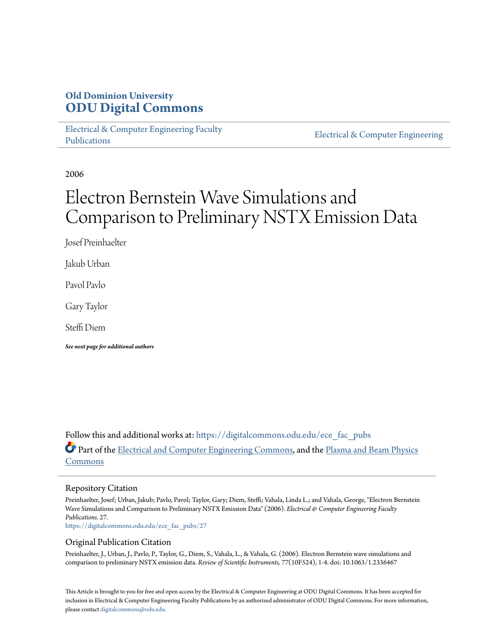## **Old Dominion University [ODU Digital Commons](https://digitalcommons.odu.edu?utm_source=digitalcommons.odu.edu%2Fece_fac_pubs%2F27&utm_medium=PDF&utm_campaign=PDFCoverPages)**

[Electrical & Computer Engineering Faculty](https://digitalcommons.odu.edu/ece_fac_pubs?utm_source=digitalcommons.odu.edu%2Fece_fac_pubs%2F27&utm_medium=PDF&utm_campaign=PDFCoverPages) [Publications](https://digitalcommons.odu.edu/ece_fac_pubs?utm_source=digitalcommons.odu.edu%2Fece_fac_pubs%2F27&utm_medium=PDF&utm_campaign=PDFCoverPages)

[Electrical & Computer Engineering](https://digitalcommons.odu.edu/ece?utm_source=digitalcommons.odu.edu%2Fece_fac_pubs%2F27&utm_medium=PDF&utm_campaign=PDFCoverPages)

2006

# Electron Bernstein Wave Simulations and Comparison to Preliminary NSTX Emission Data

Josef Preinhaelter

Jakub Urban

Pavol Pavlo

Gary Taylor

Steffi Diem

*See next page for additional authors*

Follow this and additional works at: [https://digitalcommons.odu.edu/ece\\_fac\\_pubs](https://digitalcommons.odu.edu/ece_fac_pubs?utm_source=digitalcommons.odu.edu%2Fece_fac_pubs%2F27&utm_medium=PDF&utm_campaign=PDFCoverPages) Part of the [Electrical and Computer Engineering Commons](http://network.bepress.com/hgg/discipline/266?utm_source=digitalcommons.odu.edu%2Fece_fac_pubs%2F27&utm_medium=PDF&utm_campaign=PDFCoverPages), and the [Plasma and Beam Physics](http://network.bepress.com/hgg/discipline/205?utm_source=digitalcommons.odu.edu%2Fece_fac_pubs%2F27&utm_medium=PDF&utm_campaign=PDFCoverPages) [Commons](http://network.bepress.com/hgg/discipline/205?utm_source=digitalcommons.odu.edu%2Fece_fac_pubs%2F27&utm_medium=PDF&utm_campaign=PDFCoverPages)

#### Repository Citation

Preinhaelter, Josef; Urban, Jakub; Pavlo, Pavol; Taylor, Gary; Diem, Steffi; Vahala, Linda L.; and Vahala, George, "Electron Bernstein Wave Simulations and Comparison to Preliminary NSTX Emission Data" (2006). *Electrical & Computer Engineering Faculty Publications*. 27.

[https://digitalcommons.odu.edu/ece\\_fac\\_pubs/27](https://digitalcommons.odu.edu/ece_fac_pubs/27?utm_source=digitalcommons.odu.edu%2Fece_fac_pubs%2F27&utm_medium=PDF&utm_campaign=PDFCoverPages)

#### Original Publication Citation

Preinhaelter, J., Urban, J., Pavlo, P., Taylor, G., Diem, S., Vahala, L., & Vahala, G. (2006). Electron Bernstein wave simulations and comparison to preliminary NSTX emission data. *Review of Scientific Instruments, 77*(10F524), 1-4. doi: 10.1063/1.2336467

This Article is brought to you for free and open access by the Electrical & Computer Engineering at ODU Digital Commons. It has been accepted for inclusion in Electrical & Computer Engineering Faculty Publications by an authorized administrator of ODU Digital Commons. For more information, please contact [digitalcommons@odu.edu](mailto:digitalcommons@odu.edu).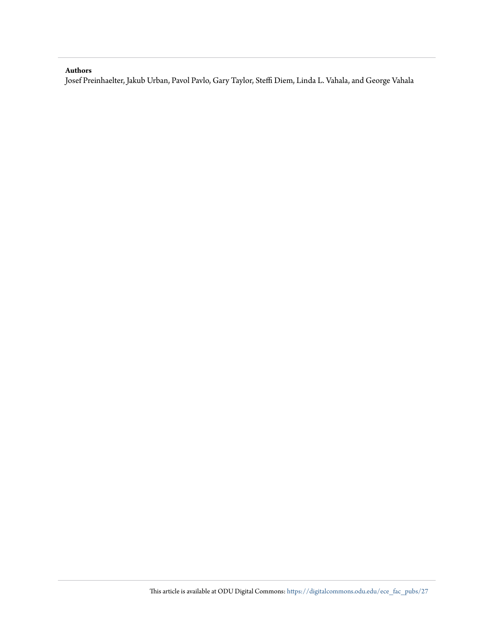#### **Authors**

Josef Preinhaelter, Jakub Urban, Pavol Pavlo, Gary Taylor, Steffi Diem, Linda L. Vahala, and George Vahala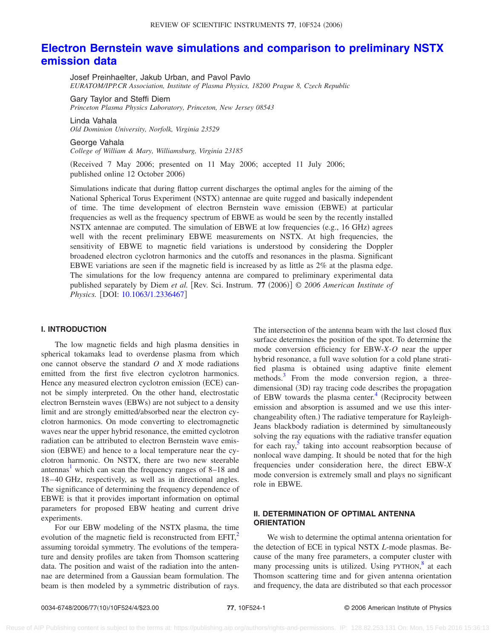### **[Electron Bernstein wave simulations and comparison to preliminary NSTX](http://dx.doi.org/10.1063/1.2336467) [emission data](http://dx.doi.org/10.1063/1.2336467)**

Josef Preinhaelter, Jakub Urban, and Pavol Pavlo *EURATOM/IPP.CR Association, Institute of Plasma Physics, 18200 Prague 8, Czech Republic*

Gary Taylor and Steffi Diem

*Princeton Plasma Physics Laboratory, Princeton, New Jersey 08543*

Linda Vahala

*Old Dominion University, Norfolk, Virginia 23529*

#### George Vahala

*College of William & Mary, Williamsburg, Virginia 23185*

Received 7 May 2006; presented on 11 May 2006; accepted 11 July 2006; published online 12 October 2006)

Simulations indicate that during flattop current discharges the optimal angles for the aiming of the National Spherical Torus Experiment (NSTX) antennae are quite rugged and basically independent of time. The time development of electron Bernstein wave emission (EBWE) at particular frequencies as well as the frequency spectrum of EBWE as would be seen by the recently installed NSTX antennae are computed. The simulation of EBWE at low frequencies (e.g., 16 GHz) agrees well with the recent preliminary EBWE measurements on NSTX. At high frequencies, the sensitivity of EBWE to magnetic field variations is understood by considering the Doppler broadened electron cyclotron harmonics and the cutoffs and resonances in the plasma. Significant EBWE variations are seen if the magnetic field is increased by as little as 2% at the plasma edge. The simulations for the low frequency antenna are compared to preliminary experimental data published separately by Diem et al. [Rev. Sci. Instrum. 77 (2006)] © 2006 American Institute of *Physics.* [DOI: [10.1063/1.2336467](http://dx.doi.org/10.1063/1.2336467)]

#### **I. INTRODUCTION**

The low magnetic fields and high plasma densities in spherical tokamaks lead to overdense plasma from which one cannot observe the standard *O* and *X* mode radiations emitted from the first five electron cyclotron harmonics. Hence any measured electron cyclotron emission (ECE) cannot be simply interpreted. On the other hand, electrostatic electron Bernstein waves (EBWs) are not subject to a density limit and are strongly emitted/absorbed near the electron cyclotron harmonics. On mode converting to electromagnetic waves near the upper hybrid resonance, the emitted cyclotron radiation can be attributed to electron Bernstein wave emission (EBWE) and hence to a local temperature near the cyclotron harmonic. On NSTX, there are two new steerable antennas<sup>1</sup> which can scan the frequency ranges of  $8-18$  and 18– 40 GHz, respectively, as well as in directional angles. The significance of determining the frequency dependence of EBWE is that it provides important information on optimal parameters for proposed EBW heating and current drive experiments.

For our EBW modeling of the NSTX plasma, the time evolution of the magnetic field is reconstructed from  $EFIT^2$ . assuming toroidal symmetry. The evolutions of the temperature and density profiles are taken from Thomson scattering data. The position and waist of the radiation into the antennae are determined from a Gaussian beam formulation. The beam is then modeled by a symmetric distribution of rays. The intersection of the antenna beam with the last closed flux surface determines the position of the spot. To determine the mode conversion efficiency for EBW-*X*-*O* near the upper hybrid resonance, a full wave solution for a cold plane stratified plasma is obtained using adaptive finite element methods.<sup>3</sup> From the mode conversion region, a threedimensional (3D) ray tracing code describes the propagation of EBW towards the plasma center.<sup>4</sup> (Reciprocity between emission and absorption is assumed and we use this interchangeability often.) The radiative temperature for Rayleigh-Jeans blackbody radiation is determined by simultaneously solving the ray equations with the radiative transfer equation for each ray, $5$  taking into account reabsorption because of nonlocal wave damping. It should be noted that for the high frequencies under consideration here, the direct EBW-*X* mode conversion is extremely small and plays no significant role in EBWE.

#### **II. DETERMINATION OF OPTIMAL ANTENNA ORIENTATION**

We wish to determine the optimal antenna orientation for the detection of ECE in typical NSTX *L*-mode plasmas. Because of the many free parameters, a computer cluster with many processing units is utilized. Using PYTHON,<sup>[8](#page-5-5)</sup> at each Thomson scattering time and for given antenna orientation and frequency, the data are distributed so that each processor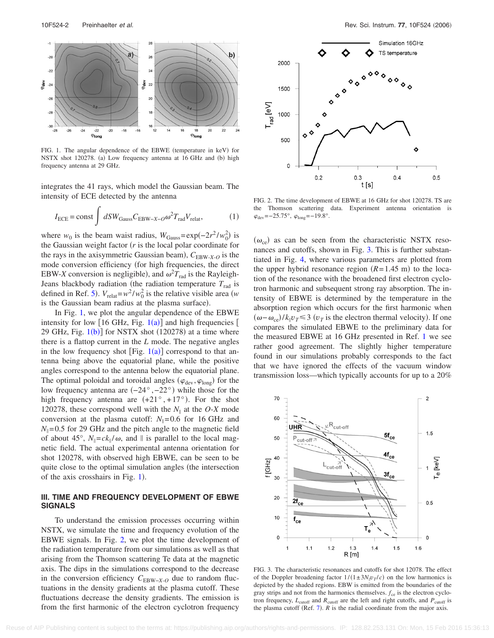<span id="page-3-0"></span>

FIG. 1. The angular dependence of the EBWE (temperature in keV) for NSTX shot 120278. (a) Low frequency antenna at 16 GHz and (b) high frequency antenna at 29 GHz.

integrates the 41 rays, which model the Gaussian beam. The intensity of ECE detected by the antenna

$$
I_{\text{ECE}} = \text{const} \int dSW_{\text{Gauss}} C_{\text{EBW-X}-O} \omega^2 T_{\text{rad}} V_{\text{relat}},
$$
 (1)

where *w*<sub>0</sub> is the beam waist radius,  $W_{\text{Gauss}} = \exp(-2r^2 / w_0^2)$  is the Gaussian weight factor  $(r$  is the local polar coordinate for the rays in the axisymmetric Gaussian beam),  $C_{EBW-X-O}$  is the mode conversion efficiency (for high frequencies, the direct EBW-*X* conversion is negligible), and  $\omega^2 T_{\text{rad}}$  is the Rayleigh-Jeans blackbody radiation (the radiation temperature  $T_{rad}$  is defined in Ref. [5](#page-5-4)).  $V_{\text{relat}} = w^2 / w_0^2$  is the relative visible area *(w*) is the Gaussian beam radius at the plasma surface).

In Fig. [1,](#page-3-0) we plot the angular dependence of the EBWE intensity for low  $[16 \text{ GHz}, \text{ Fig. } 1(a)]$  $[16 \text{ GHz}, \text{ Fig. } 1(a)]$  $[16 \text{ GHz}, \text{ Fig. } 1(a)]$  and high frequencies  $[$ 29 GHz, Fig.  $1(b)$  $1(b)$  for NSTX shot (120278) at a time where there is a flattop current in the *L* mode. The negative angles in the low frequency shot [Fig.  $1(a)$  $1(a)$ ] correspond to that antenna being above the equatorial plane, while the positive angles correspond to the antenna below the equatorial plane. The optimal poloidal and toroidal angles ( $\varphi_{\text{dev}}, \varphi_{\text{long}}$ ) for the low frequency antenna are  $(-24^{\circ}, -22^{\circ})$  while those for the high frequency antenna are  $(+21^{\circ}, +17^{\circ})$ . For the shot 120278, these correspond well with the  $N_{\parallel}$  at the *O-X* mode conversion at the plasma cutoff:  $N_{\parallel}$ =0.6 for 16 GHz and  $N_{\parallel}$ =0.5 for 29 GHz and the pitch angle to the magnetic field of about 45°,  $N_{\parallel} = ck_{\parallel}/\omega$ , and  $\parallel$  is parallel to the local magnetic field. The actual experimental antenna orientation for shot 120278, with observed high EBWE, can be seen to be quite close to the optimal simulation angles (the intersection of the axis crosshairs in Fig. [1](#page-3-0)).

#### **III. TIME AND FREQUENCY DEVELOPMENT OF EBWE SIGNALS**

To understand the emission processes occurring within NSTX, we simulate the time and frequency evolution of the EBWE signals. In Fig. [2,](#page-3-1) we plot the time development of the radiation temperature from our simulations as well as that arising from the Thomson scattering Te data at the magnetic axis. The dips in the simulations correspond to the decrease in the conversion efficiency  $C_{EBW-X-O}$  due to random fluctuations in the density gradients at the plasma cutoff. These fluctuations decrease the density gradients. The emission is from the first harmonic of the electron cyclotron frequency

<span id="page-3-1"></span>

FIG. 2. The time development of EBWE at 16 GHz for shot 120278. TS are the Thomson scattering data. Experiment antenna orientation is  $\varphi_{\text{dev}} = -25.75^{\circ}, \ \varphi_{\text{long}} = -19.8^{\circ}.$ 

 $(\omega_{ce})$  as can be seen from the characteristic NSTX resonances and cutoffs, shown in Fig. [3.](#page-3-2) This is further substantiated in Fig. [4,](#page-4-0) where various parameters are plotted from the upper hybrid resonance region  $(R=1.45 \text{ m})$  to the location of the resonance with the broadened first electron cyclotron harmonic and subsequent strong ray absorption. The intensity of EBWE is determined by the temperature in the absorption region which occurs for the first harmonic when  $(\omega - \omega_{ce})/k_{\parallel}v_T$ ≤ 3  $(v_T$  is the electron thermal velocity). If one compares the simulated EBWE to the preliminary data for the measured EBWE at 16 GHz presented in Ref. [1](#page-5-0) we see rather good agreement. The slightly higher temperature found in our simulations probably corresponds to the fact that we have ignored the effects of the vacuum window transmission loss—which typically accounts for up to a 20%

<span id="page-3-2"></span>

FIG. 3. The characteristic resonances and cutoffs for shot 12078. The effect of the Doppler broadening factor  $1/(1 \pm 3N_{\parallel}v_T/c)$  on the low harmonics is depicted by the shaded regions. EBW is emitted from the boundaries of the gray strips and not from the harmonics themselves.  $f_{\rm ce}$  is the electron cyclotron frequency,  $L_{\text{cutoff}}$  and  $R_{\text{cutoff}}$  are the left and right cutoffs, and  $P_{\text{cutoff}}$  is the plasma cutoff (Ref.  $7$ ).  $R$  is the radial coordinate from the major axis.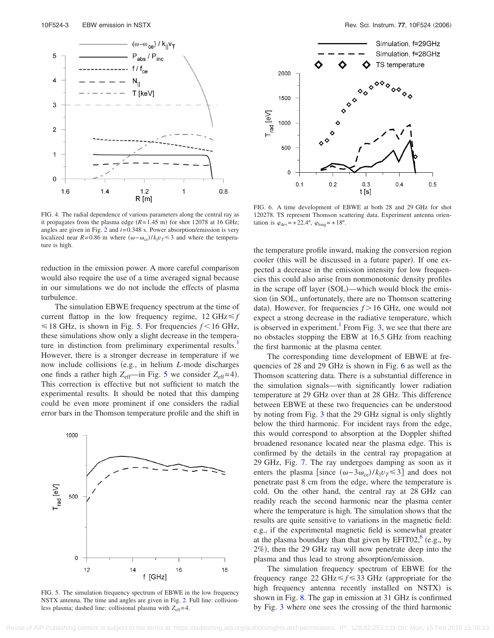<span id="page-4-0"></span>

FIG. 4. The radial dependence of various parameters along the central ray as it propagates from the plasma edge  $(R=1.45 \text{ m})$  for shot 12078 at 16 GHz; angles are given in Fig. [2](#page-3-1) and *t*= 0.348 s. Power absorption/emission is very localized near  $R = 0.86$  m where  $(\omega - \omega_{ce})/k_{\parallel}v_T \le 3$  and where the temperature is high.

reduction in the emission power. A more careful comparison would also require the use of a time averaged signal because in our simulations we do not include the effects of plasma turbulence.

The simulation EBWE frequency spectrum at the time of current flattop in the low frequency regime,  $12 \text{ GHz} \leq f$  $\leq$  18 GHz, is shown in Fig. [5.](#page-4-1) For frequencies  $f$  < 16 GHz, these simulations show only a slight decrease in the temperature in distinction from preliminary experimental results.<sup>1</sup> However, there is a stronger decrease in temperature if we now include collisions (e.g., in helium *L*-mode discharges one finds a rather high  $Z_{\text{eff}}$ —in Fig. [5](#page-4-1) we consider  $Z_{\text{eff}}$ =4). This correction is effective but not sufficient to match the experimental results. It should be noted that this damping could be even more prominent if one considers the radial error bars in the Thomson temperature profile and the shift in

<span id="page-4-1"></span>

FIG. 5. The simulation frequency spectrum of EBWE in the low frequency NSTX antenna. The time and angles are given in Fig. [2.](#page-3-1) Full line: collisionless plasma; dashed line: collisional plasma with  $Z_{\text{eff}}=4$ .

<span id="page-4-2"></span>

FIG. 6. A time development of EBWE at both 28 and 29 GHz for shot 120278. TS represent Thomson scattering data. Experiment antenna orientation is  $\varphi_{\text{dev}}$  = +22.4°,  $\varphi_{\text{long}}$  = +18°.

the temperature profile inward, making the conversion region cooler (this will be discussed in a future paper). If one expected a decrease in the emission intensity for low frequencies this could also arise from nonmonotonic density profiles in the scrape off layer (SOL)—which would block the emission (in SOL, unfortunately, there are no Thomson scattering data). However, for frequencies  $f > 16$  GHz, one would not expect a strong decrease in the radiative temperature, which is observed in experiment.<sup>1</sup> From Fig. [3,](#page-3-2) we see that there are no obstacles stopping the EBW at 16.5 GHz from reaching the first harmonic at the plasma center.

The corresponding time development of EBWE at frequencies of 28 and 29 GHz is shown in Fig. [6](#page-4-2) as well as the Thomson scattering data. There is a substantial difference in the simulation signals—with significantly lower radiation temperature at 29 GHz over than at 28 GHz. This difference between EBWE at these two frequencies can be understood by noting from Fig. [3](#page-3-2) that the 29 GHz signal is only slightly below the third harmonic. For incident rays from the edge, this would correspond to absorption at the Doppler shifted broadened resonance located near the plasma edge. This is confirmed by the details in the central ray propagation at 29 GHz, Fig. [7.](#page-5-7) The ray undergoes damping as soon as it enters the plasma [since  $(\omega - 3\omega_{ce})/k_{\parallel}v_T \le 3$ ] and does not penetrate past 8 cm from the edge, where the temperature is cold. On the other hand, the central ray at 28 GHz can readily reach the second harmonic near the plasma center where the temperature is high. The simulation shows that the results are quite sensitive to variations in the magnetic field: e.g., if the experimental magnetic field is somewhat greater at the plasma boundary than that given by  $EFTO2$ ,  $(e.g., by$ 2%), then the 29 GHz ray will now penetrate deep into the plasma and thus lead to strong absorption/emission.

The simulation frequency spectrum of EBWE for the frequency range 22 GHz  $\leq f \leq 33$  GHz (appropriate for the high frequency antenna recently installed on NSTX) is shown in Fig. [8.](#page-5-9) The gap in emission at 31 GHz is confirmed by Fig. [3](#page-3-2) where one sees the crossing of the third harmonic